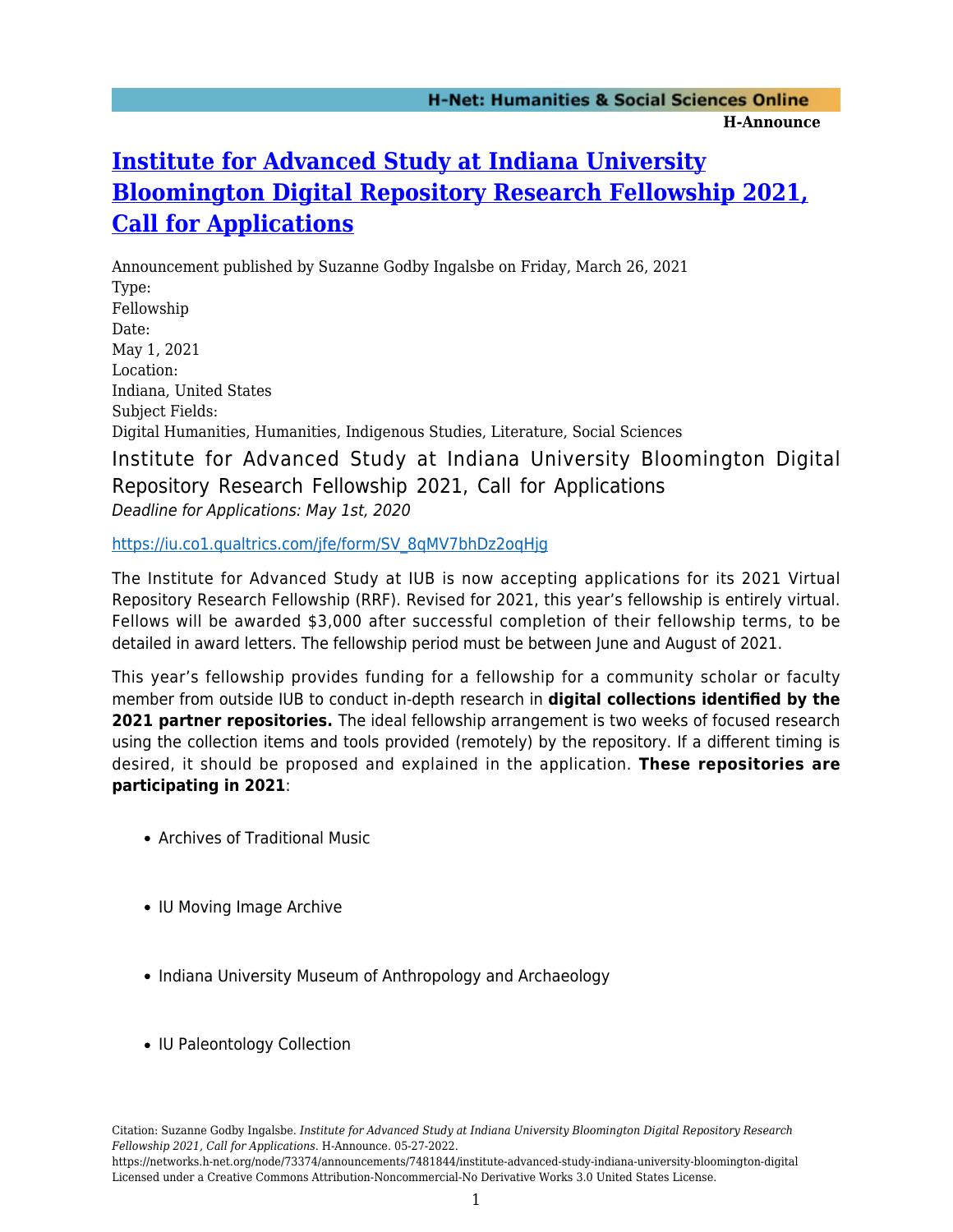## **[Institute for Advanced Study at Indiana University](https://networks.h-net.org/node/73374/announcements/7481844/institute-advanced-study-indiana-university-bloomington-digital) [Bloomington Digital Repository Research Fellowship 2021,](https://networks.h-net.org/node/73374/announcements/7481844/institute-advanced-study-indiana-university-bloomington-digital) [Call for Applications](https://networks.h-net.org/node/73374/announcements/7481844/institute-advanced-study-indiana-university-bloomington-digital)**

Announcement published by Suzanne Godby Ingalsbe on Friday, March 26, 2021 Type: Fellowship Date: May 1, 2021 Location: Indiana, United States Subject Fields: Digital Humanities, Humanities, Indigenous Studies, Literature, Social Sciences Institute for Advanced Study at Indiana University Bloomington Digital Repository Research Fellowship 2021, Call for Applications Deadline for Applications: May 1st, 2020

## [https://iu.co1.qualtrics.com/jfe/form/SV\\_8qMV7bhDz2oqHjg](https://iu.co1.qualtrics.com/jfe/form/SV_8qMV7bhDz2oqHjg)

The Institute for Advanced Study at IUB is now accepting applications for its 2021 Virtual Repository Research Fellowship (RRF). Revised for 2021, this year's fellowship is entirely virtual. Fellows will be awarded \$3,000 after successful completion of their fellowship terms, to be detailed in award letters. The fellowship period must be between June and August of 2021.

This year's fellowship provides funding for a fellowship for a community scholar or faculty member from outside IUB to conduct in-depth research in **digital collections identified by the** 2021 partner repositories. The ideal fellowship arrangement is two weeks of focused research using the collection items and tools provided (remotely) by the repository. If a different timing is desired, it should be proposed and explained in the application. **These repositories are participating in 2021**:

- Archives of Traditional Music
- IU Moving Image Archive
- Indiana University Museum of Anthropology and Archaeology
- IU Paleontology Collection

Citation: Suzanne Godby Ingalsbe. *Institute for Advanced Study at Indiana University Bloomington Digital Repository Research Fellowship 2021, Call for Applications*. H-Announce. 05-27-2022.

https://networks.h-net.org/node/73374/announcements/7481844/institute-advanced-study-indiana-university-bloomington-digital Licensed under a Creative Commons Attribution-Noncommercial-No Derivative Works 3.0 United States License.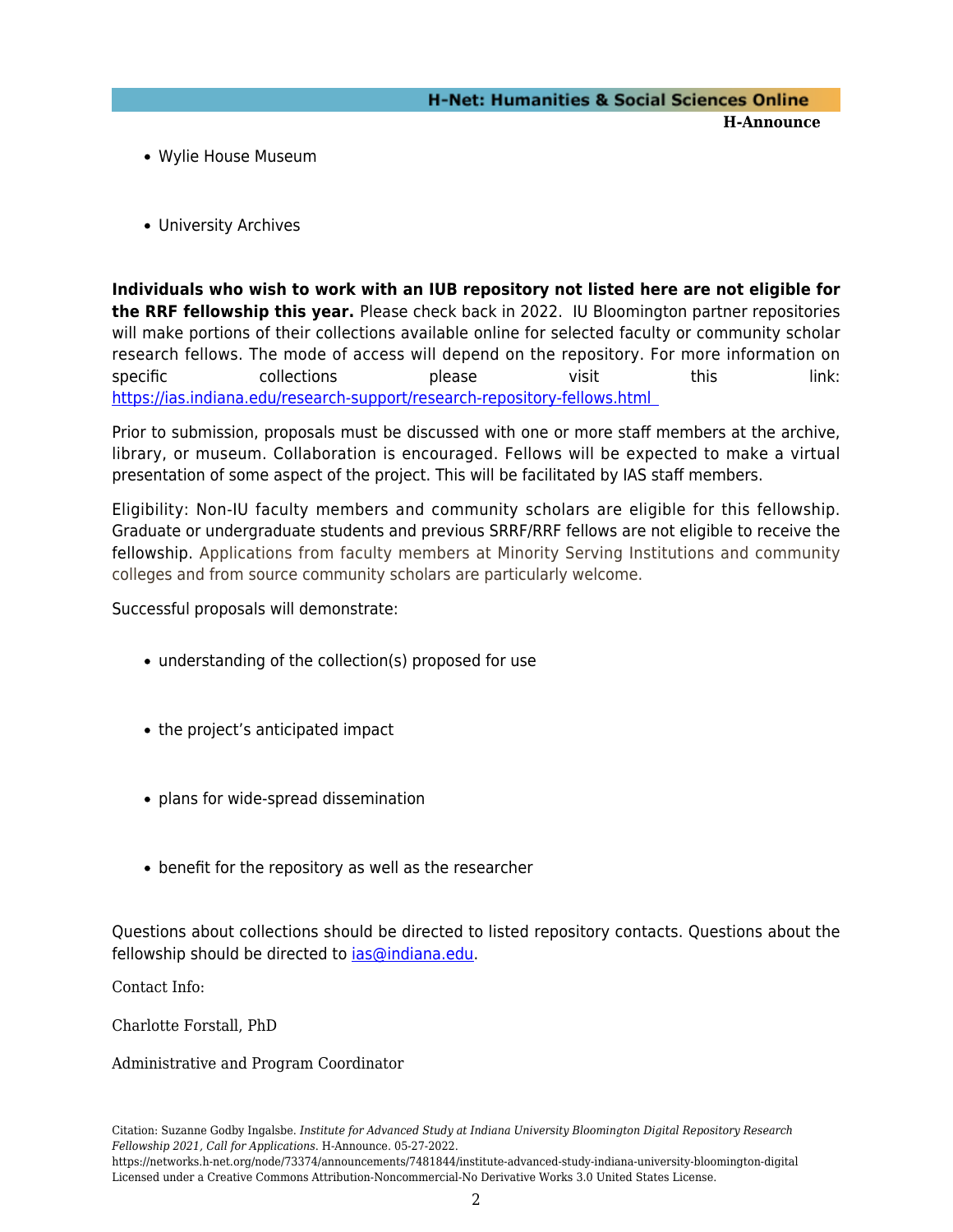- Wylie House Museum
- University Archives

**Individuals who wish to work with an IUB repository not listed here are not eligible for the RRF fellowship this year.** Please check back in 2022. IU Bloomington partner repositories will make portions of their collections available online for selected faculty or community scholar research fellows. The mode of access will depend on the repository. For more information on specific collections please visit this link: [https://ias.indiana.edu/research-support/research-repository-fellows.html](https://ias.indiana.edu/research-support/research-repository-fellows.html ) 

Prior to submission, proposals must be discussed with one or more staff members at the archive, library, or museum. Collaboration is encouraged. Fellows will be expected to make a virtual presentation of some aspect of the project. This will be facilitated by IAS staff members.

Eligibility: Non-IU faculty members and community scholars are eligible for this fellowship. Graduate or undergraduate students and previous SRRF/RRF fellows are not eligible to receive the fellowship. Applications from faculty members at Minority Serving Institutions and community colleges and from source community scholars are particularly welcome.

Successful proposals will demonstrate:

- understanding of the collection(s) proposed for use
- the project's anticipated impact
- plans for wide-spread dissemination
- benefit for the repository as well as the researcher

Questions about collections should be directed to listed repository contacts. Questions about the fellowship should be directed to [ias@indiana.edu](mailto:ias@indiana.edu).

Contact Info:

Charlotte Forstall, PhD

Administrative and Program Coordinator